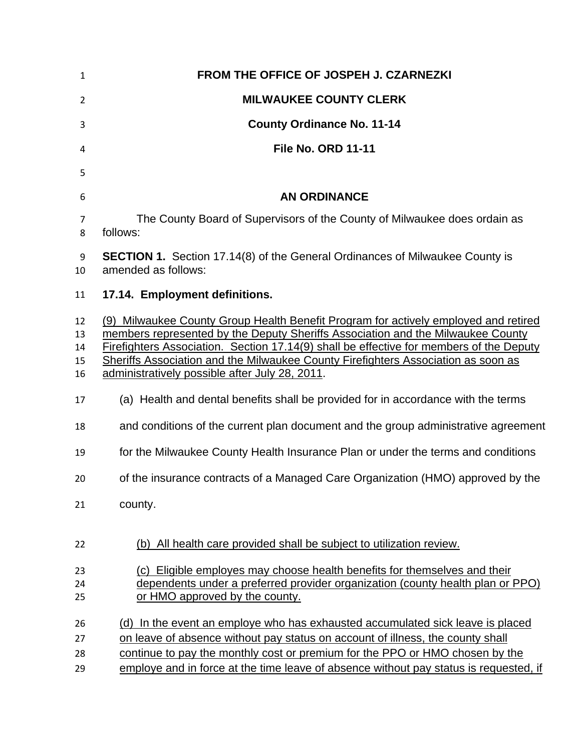| $\mathbf{1}$               | FROM THE OFFICE OF JOSPEH J. CZARNEZKI                                                                                                                                                                                                                                                                                                                                                                   |
|----------------------------|----------------------------------------------------------------------------------------------------------------------------------------------------------------------------------------------------------------------------------------------------------------------------------------------------------------------------------------------------------------------------------------------------------|
| $\overline{2}$             | <b>MILWAUKEE COUNTY CLERK</b>                                                                                                                                                                                                                                                                                                                                                                            |
| 3                          | <b>County Ordinance No. 11-14</b>                                                                                                                                                                                                                                                                                                                                                                        |
| 4                          | <b>File No. ORD 11-11</b>                                                                                                                                                                                                                                                                                                                                                                                |
| 5                          |                                                                                                                                                                                                                                                                                                                                                                                                          |
| 6                          | <b>AN ORDINANCE</b>                                                                                                                                                                                                                                                                                                                                                                                      |
| 7<br>8                     | The County Board of Supervisors of the County of Milwaukee does ordain as<br>follows:                                                                                                                                                                                                                                                                                                                    |
| 9<br>10                    | <b>SECTION 1.</b> Section 17.14(8) of the General Ordinances of Milwaukee County is<br>amended as follows:                                                                                                                                                                                                                                                                                               |
| 11                         | 17.14. Employment definitions.                                                                                                                                                                                                                                                                                                                                                                           |
| 12<br>13<br>14<br>15<br>16 | (9) Milwaukee County Group Health Benefit Program for actively employed and retired<br>members represented by the Deputy Sheriffs Association and the Milwaukee County<br>Firefighters Association. Section 17.14(9) shall be effective for members of the Deputy<br>Sheriffs Association and the Milwaukee County Firefighters Association as soon as<br>administratively possible after July 28, 2011. |
| 17                         | (a) Health and dental benefits shall be provided for in accordance with the terms                                                                                                                                                                                                                                                                                                                        |
| 18                         | and conditions of the current plan document and the group administrative agreement                                                                                                                                                                                                                                                                                                                       |
| 19                         | for the Milwaukee County Health Insurance Plan or under the terms and conditions                                                                                                                                                                                                                                                                                                                         |
| 20                         | of the insurance contracts of a Managed Care Organization (HMO) approved by the                                                                                                                                                                                                                                                                                                                          |
| 21                         | county.                                                                                                                                                                                                                                                                                                                                                                                                  |
| 22                         | (b) All health care provided shall be subject to utilization review.                                                                                                                                                                                                                                                                                                                                     |
| 23                         | (c) Eligible employes may choose health benefits for themselves and their                                                                                                                                                                                                                                                                                                                                |
| 24<br>25                   | dependents under a preferred provider organization (county health plan or PPO)<br>or HMO approved by the county.                                                                                                                                                                                                                                                                                         |
|                            |                                                                                                                                                                                                                                                                                                                                                                                                          |
| 26                         | (d) In the event an employe who has exhausted accumulated sick leave is placed                                                                                                                                                                                                                                                                                                                           |
| 27<br>28                   | on leave of absence without pay status on account of illness, the county shall<br>continue to pay the monthly cost or premium for the PPO or HMO chosen by the                                                                                                                                                                                                                                           |
| 29                         | employe and in force at the time leave of absence without pay status is requested, if                                                                                                                                                                                                                                                                                                                    |
|                            |                                                                                                                                                                                                                                                                                                                                                                                                          |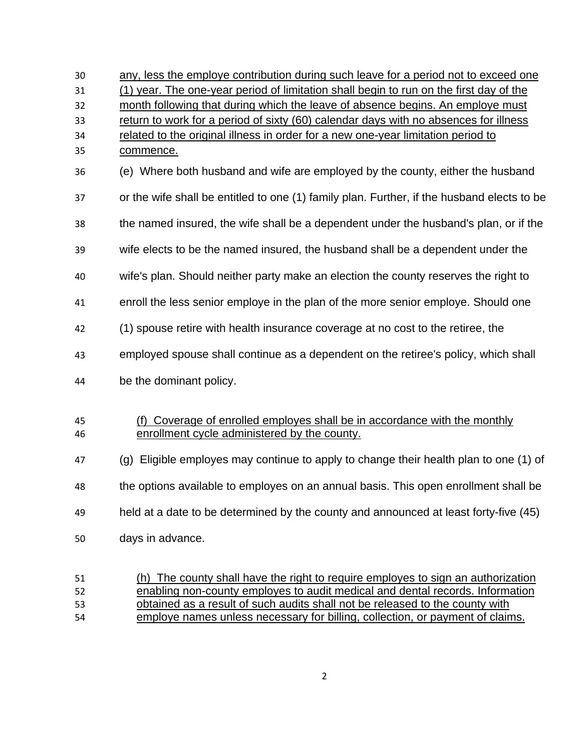| 30 | any, less the employe contribution during such leave for a period not to exceed one        |
|----|--------------------------------------------------------------------------------------------|
| 31 | (1) year. The one-year period of limitation shall begin to run on the first day of the     |
| 32 | month following that during which the leave of absence begins. An employe must             |
| 33 | return to work for a period of sixty (60) calendar days with no absences for illness       |
| 34 | related to the original illness in order for a new one-year limitation period to           |
| 35 | commence.                                                                                  |
| 36 | (e) Where both husband and wife are employed by the county, either the husband             |
| 37 | or the wife shall be entitled to one (1) family plan. Further, if the husband elects to be |
| 38 | the named insured, the wife shall be a dependent under the husband's plan, or if the       |
| 39 | wife elects to be the named insured, the husband shall be a dependent under the            |
| 40 | wife's plan. Should neither party make an election the county reserves the right to        |
| 41 | enroll the less senior employe in the plan of the more senior employe. Should one          |
| 42 | (1) spouse retire with health insurance coverage at no cost to the retiree, the            |
| 43 | employed spouse shall continue as a dependent on the retiree's policy, which shall         |
| 44 | be the dominant policy.                                                                    |
|    |                                                                                            |
| 45 | (f) Coverage of enrolled employes shall be in accordance with the monthly                  |
| 46 | enrollment cycle administered by the county.                                               |
| 47 | (g) Eligible employes may continue to apply to change their health plan to one (1) of      |
| 48 | the options available to employes on an annual basis. This open enrollment shall be        |
| 49 | held at a date to be determined by the county and announced at least forty-five (45)       |

- days in advance.
- (h) The county shall have the right to require employes to sign an authorization enabling non-county employes to audit medical and dental records. Information obtained as a result of such audits shall not be released to the county with employe names unless necessary for billing, collection, or payment of claims.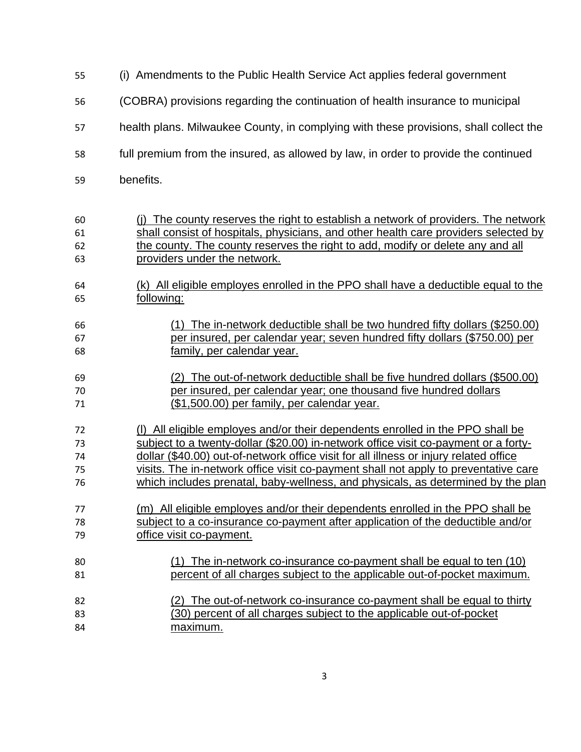| 55 | (i) Amendments to the Public Health Service Act applies federal government            |
|----|---------------------------------------------------------------------------------------|
| 56 | (COBRA) provisions regarding the continuation of health insurance to municipal        |
| 57 | health plans. Milwaukee County, in complying with these provisions, shall collect the |
| 58 | full premium from the insured, as allowed by law, in order to provide the continued   |
| 59 | benefits.                                                                             |
| 60 | (i) The county reserves the right to establish a network of providers. The network    |
| 61 | shall consist of hospitals, physicians, and other health care providers selected by   |
| 62 | the county. The county reserves the right to add, modify or delete any and all        |
| 63 | providers under the network.                                                          |
| 64 | (k) All eligible employes enrolled in the PPO shall have a deductible equal to the    |
| 65 | following:                                                                            |
| 66 | (1) The in-network deductible shall be two hundred fifty dollars (\$250.00)           |
| 67 | per insured, per calendar year; seven hundred fifty dollars (\$750.00) per            |
| 68 | family, per calendar year.                                                            |
| 69 | (2) The out-of-network deductible shall be five hundred dollars (\$500.00)            |
| 70 | per insured, per calendar year; one thousand five hundred dollars                     |
| 71 | <u>(\$1,500.00) per family, per calendar year.</u>                                    |
| 72 | (I) All eligible employes and/or their dependents enrolled in the PPO shall be        |
| 73 | subject to a twenty-dollar (\$20.00) in-network office visit co-payment or a forty-   |
| 74 | dollar (\$40.00) out-of-network office visit for all illness or injury related office |
| 75 | visits. The in-network office visit co-payment shall not apply to preventative care   |
| 76 | which includes prenatal, baby-wellness, and physicals, as determined by the plan      |
| 77 | (m) All eligible employes and/or their dependents enrolled in the PPO shall be        |
| 78 | subject to a co-insurance co-payment after application of the deductible and/or       |
| 79 | office visit co-payment.                                                              |
| 80 | (1) The in-network co-insurance co-payment shall be equal to ten (10)                 |
| 81 | percent of all charges subject to the applicable out-of-pocket maximum.               |
| 82 | (2) The out-of-network co-insurance co-payment shall be equal to thirty               |
| 83 | (30) percent of all charges subject to the applicable out-of-pocket                   |
| 84 | maximum.                                                                              |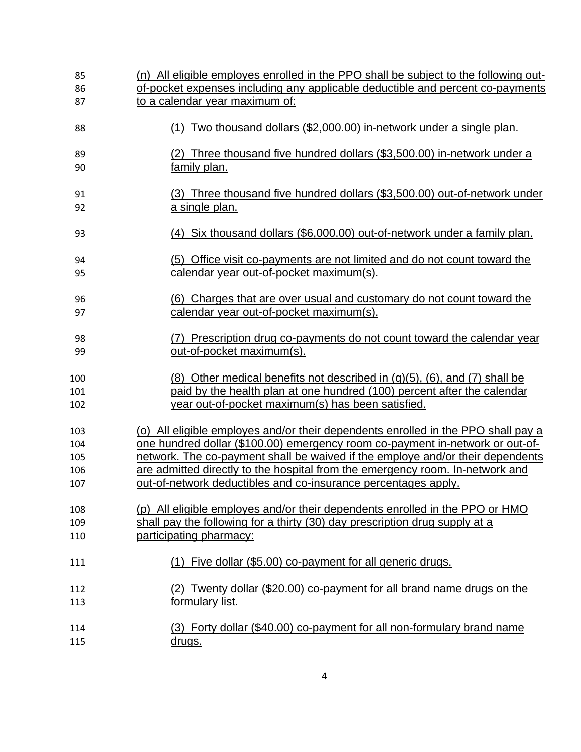| 85  | (n) All eligible employes enrolled in the PPO shall be subject to the following out- |
|-----|--------------------------------------------------------------------------------------|
| 86  | of-pocket expenses including any applicable deductible and percent co-payments       |
| 87  | to a calendar year maximum of:                                                       |
| 88  | (1) Two thousand dollars (\$2,000.00) in-network under a single plan.                |
| 89  | (2) Three thousand five hundred dollars (\$3,500.00) in-network under a              |
| 90  | family plan.                                                                         |
| 91  | (3) Three thousand five hundred dollars (\$3,500.00) out-of-network under            |
| 92  | a single plan.                                                                       |
| 93  | (4) Six thousand dollars (\$6,000.00) out-of-network under a family plan.            |
| 94  | (5) Office visit co-payments are not limited and do not count toward the             |
| 95  | calendar year out-of-pocket maximum(s).                                              |
| 96  | <u>(6) Charges that are over usual and customary do not count toward the</u>         |
| 97  | calendar year out-of-pocket maximum(s).                                              |
| 98  | (7) Prescription drug co-payments do not count toward the calendar year              |
| 99  | out-of-pocket maximum(s).                                                            |
| 100 | $(8)$ Other medical benefits not described in $(q)(5)$ , $(6)$ , and $(7)$ shall be  |
| 101 | paid by the health plan at one hundred (100) percent after the calendar              |
| 102 | year out-of-pocket maximum(s) has been satisfied.                                    |
| 103 | (o) All eligible employes and/or their dependents enrolled in the PPO shall pay a    |
| 104 | one hundred dollar (\$100.00) emergency room co-payment in-network or out-of-        |
| 105 | network. The co-payment shall be waived if the employe and/or their dependents       |
| 106 | are admitted directly to the hospital from the emergency room. In-network and        |
| 107 | out-of-network deductibles and co-insurance percentages apply.                       |
| 108 | (p) All eligible employes and/or their dependents enrolled in the PPO or HMO         |
| 109 | shall pay the following for a thirty (30) day prescription drug supply at a          |
| 110 | participating pharmacy:                                                              |
| 111 | Five dollar (\$5.00) co-payment for all generic drugs.                               |
| 112 | (2) Twenty dollar (\$20.00) co-payment for all brand name drugs on the               |
| 113 | formulary list.                                                                      |
| 114 | (3) Forty dollar (\$40.00) co-payment for all non-formulary brand name               |
| 115 | <u>drugs.</u>                                                                        |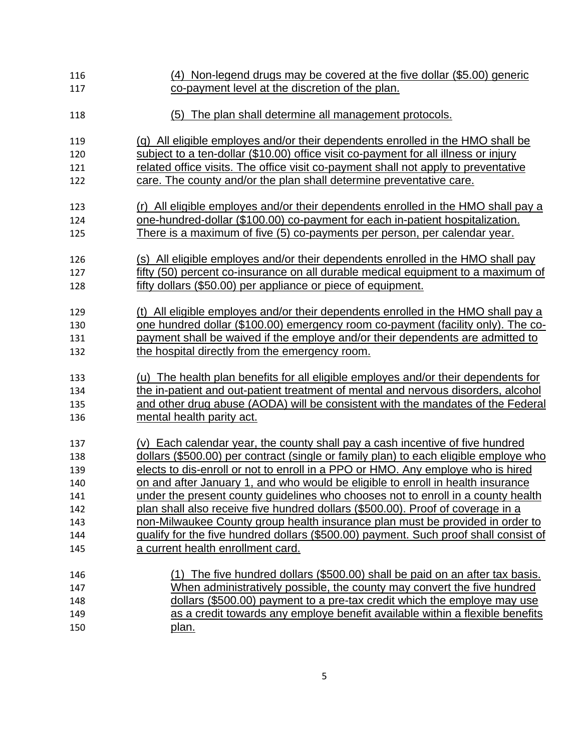| 116 | (4) Non-legend drugs may be covered at the five dollar (\$5.00) generic              |
|-----|--------------------------------------------------------------------------------------|
| 117 | co-payment level at the discretion of the plan.                                      |
|     |                                                                                      |
| 118 | (5) The plan shall determine all management protocols.                               |
|     |                                                                                      |
| 119 | (q) All eligible employes and/or their dependents enrolled in the HMO shall be       |
| 120 | subject to a ten-dollar (\$10.00) office visit co-payment for all illness or injury  |
| 121 | related office visits. The office visit co-payment shall not apply to preventative   |
| 122 | care. The county and/or the plan shall determine preventative care.                  |
|     |                                                                                      |
| 123 | (r) All eligible employes and/or their dependents enrolled in the HMO shall pay a    |
| 124 | one-hundred-dollar (\$100.00) co-payment for each in-patient hospitalization.        |
| 125 | There is a maximum of five (5) co-payments per person, per calendar year.            |
|     |                                                                                      |
| 126 | (s) All eligible employes and/or their dependents enrolled in the HMO shall pay      |
| 127 | fifty (50) percent co-insurance on all durable medical equipment to a maximum of     |
| 128 | fifty dollars (\$50.00) per appliance or piece of equipment.                         |
| 129 | (t) All eligible employes and/or their dependents enrolled in the HMO shall pay a    |
| 130 | one hundred dollar (\$100.00) emergency room co-payment (facility only). The co-     |
| 131 | payment shall be waived if the employe and/or their dependents are admitted to       |
| 132 | the hospital directly from the emergency room.                                       |
|     |                                                                                      |
| 133 | (u) The health plan benefits for all eligible employes and/or their dependents for   |
| 134 | the in-patient and out-patient treatment of mental and nervous disorders, alcohol    |
| 135 | and other drug abuse (AODA) will be consistent with the mandates of the Federal      |
| 136 | mental health parity act.                                                            |
|     |                                                                                      |
| 137 | (v) Each calendar year, the county shall pay a cash incentive of five hundred        |
| 138 | dollars (\$500.00) per contract (single or family plan) to each eligible employe who |
| 139 | elects to dis-enroll or not to enroll in a PPO or HMO. Any employe who is hired      |
| 140 | on and after January 1, and who would be eligible to enroll in health insurance      |
| 141 | under the present county guidelines who chooses not to enroll in a county health     |
| 142 | plan shall also receive five hundred dollars (\$500.00). Proof of coverage in a      |
| 143 | non-Milwaukee County group health insurance plan must be provided in order to        |
| 144 | qualify for the five hundred dollars (\$500.00) payment. Such proof shall consist of |
| 145 | a current health enrollment card.                                                    |
|     | (1) The five hundred dollars (\$500.00) shall be paid on an after tax basis.         |
| 146 | When administratively possible, the county may convert the five hundred              |
| 147 |                                                                                      |
| 148 | dollars (\$500.00) payment to a pre-tax credit which the employe may use             |
| 149 | as a credit towards any employe benefit available within a flexible benefits         |
| 150 | plan.                                                                                |